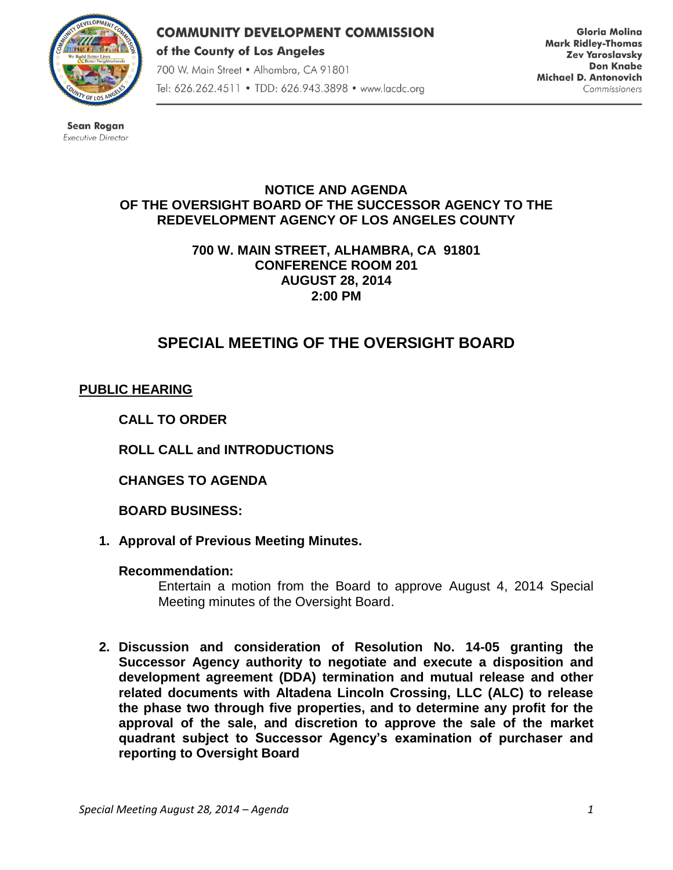

**COMMUNITY DEVELOPMENT COMMISSION** of the County of Los Angeles 700 W. Main Street · Alhambra, CA 91801 Tel: 626.262.4511 • TDD: 626.943.3898 • www.lacdc.org

**Gloria Molina Mark Ridley-Thomas Zev Yaroslavsky Don Knabe** Michael D. Antonovich Commissioners

**Sean Rogan** Executive Director

## **NOTICE AND AGENDA OF THE OVERSIGHT BOARD OF THE SUCCESSOR AGENCY TO THE REDEVELOPMENT AGENCY OF LOS ANGELES COUNTY**

**700 W. MAIN STREET, ALHAMBRA, CA 91801 CONFERENCE ROOM 201 AUGUST 28, 2014 2:00 PM**

# **SPECIAL MEETING OF THE OVERSIGHT BOARD**

# **PUBLIC HEARING**

**CALL TO ORDER**

**ROLL CALL and INTRODUCTIONS** 

**CHANGES TO AGENDA**

**BOARD BUSINESS:**

**1. Approval of Previous Meeting Minutes.**

## **Recommendation:**

Entertain a motion from the Board to approve August 4, 2014 Special Meeting minutes of the Oversight Board.

**2. Discussion and consideration of Resolution No. 14-05 granting the Successor Agency authority to negotiate and execute a disposition and development agreement (DDA) termination and mutual release and other related documents with Altadena Lincoln Crossing, LLC (ALC) to release the phase two through five properties, and to determine any profit for the approval of the sale, and discretion to approve the sale of the market quadrant subject to Successor Agency's examination of purchaser and reporting to Oversight Board**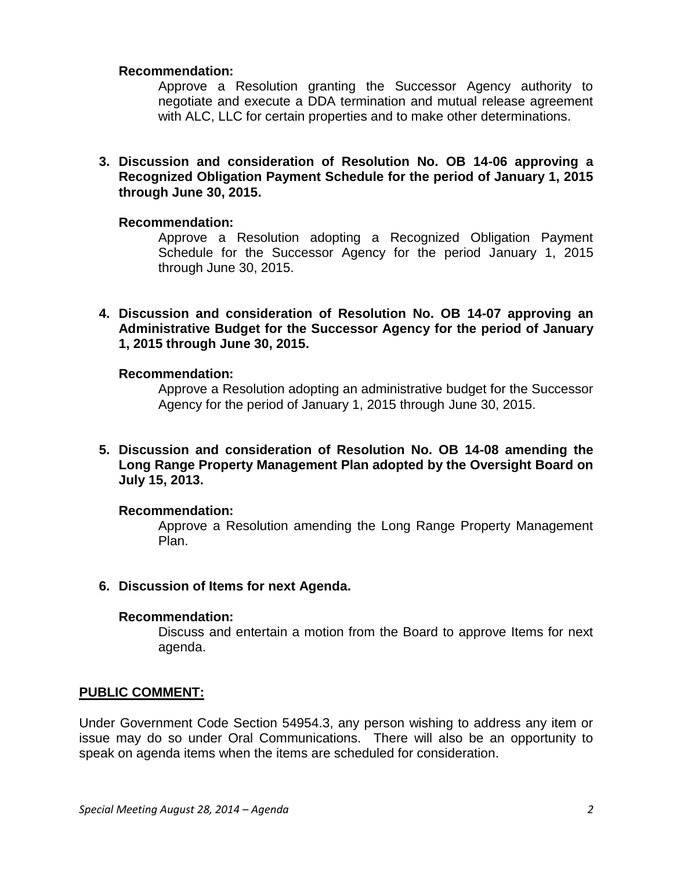#### **Recommendation:**

Approve a Resolution granting the Successor Agency authority to negotiate and execute a DDA termination and mutual release agreement with ALC, LLC for certain properties and to make other determinations.

**3. Discussion and consideration of Resolution No. OB 14-06 approving a Recognized Obligation Payment Schedule for the period of January 1, 2015 through June 30, 2015.**

#### **Recommendation:**

Approve a Resolution adopting a Recognized Obligation Payment Schedule for the Successor Agency for the period January 1, 2015 through June 30, 2015.

**4. Discussion and consideration of Resolution No. OB 14-07 approving an Administrative Budget for the Successor Agency for the period of January 1, 2015 through June 30, 2015.**

#### **Recommendation:**

Approve a Resolution adopting an administrative budget for the Successor Agency for the period of January 1, 2015 through June 30, 2015.

**5. Discussion and consideration of Resolution No. OB 14-08 amending the Long Range Property Management Plan adopted by the Oversight Board on July 15, 2013.**

#### **Recommendation:**

Approve a Resolution amending the Long Range Property Management Plan.

**6. Discussion of Items for next Agenda.**

## **Recommendation:**

Discuss and entertain a motion from the Board to approve Items for next agenda.

## **PUBLIC COMMENT:**

Under Government Code Section 54954.3, any person wishing to address any item or issue may do so under Oral Communications. There will also be an opportunity to speak on agenda items when the items are scheduled for consideration.